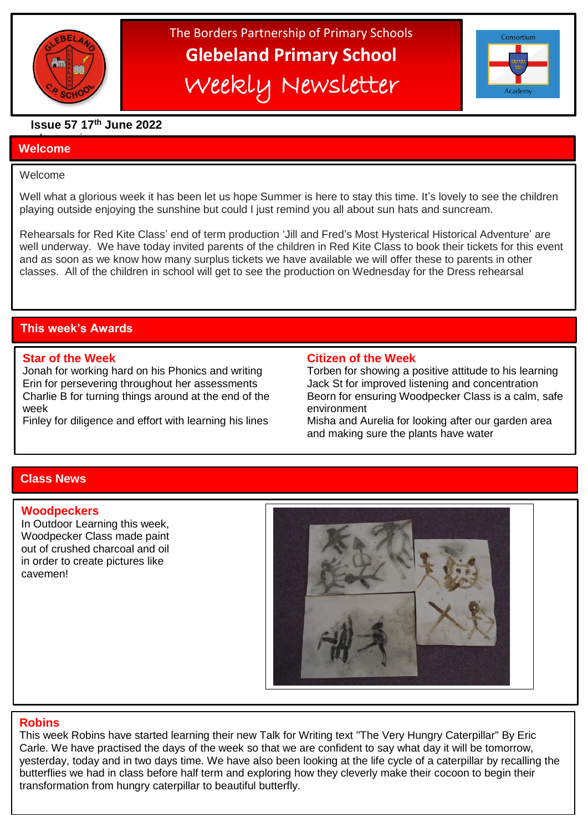

# The Borders Partnership of Primary Schools **Glebeland Primary School** Weekly Newsletter



# **Issue 57 17th June 2022**

#### a bumper issues in the second second in the second second in the second second in the second second in the second second in the second second in the second second second in the second second second second second second sec **Welcome**

l

### Welcome

Well what a glorious week it has been let us hope Summer is here to stay this time. It's lovely to see the children playing outside enjoying the sunshine but could I just remind you all about sun hats and suncream.

Rehearsals for Red Kite Class' end of term production 'Jill and Fred's Most Hysterical Historical Adventure' are well underway. We have today invited parents of the children in Red Kite Class to book their tickets for this event and as soon as we know how many surplus tickets we have available we will offer these to parents in other classes. All of the children in school will get to see the production on Wednesday for the Dress rehearsal

# **This week's Awards**

Erin for persevering throughout her assessments Jack St for improved listening and concentration week environment

#### **Star of the Week Citizen of the Week**

Jonah for working hard on his Phonics and writing Torben for showing a positive attitude to his learning Charlie B for turning things around at the end of the Beorn for ensuring Woodpecker Class is a calm, safe Finley for diligence and effort with learning his lines Misha and Aurelia for looking after our garden area and making sure the plants have water

# **Class News**

#### **Woodpeckers**

In Outdoor Learning this week, Woodpecker Class made paint out of crushed charcoal and oil in order to create pictures like cavemen!



# **Robins**

This week Robins have started learning their new Talk for Writing text "The Very Hungry Caterpillar" By Eric Carle. We have practised the days of the week so that we are confident to say what day it will be tomorrow, yesterday, today and in two days time. We have also been looking at the life cycle of a caterpillar by recalling the butterflies we had in class before half term and exploring how they cleverly make their cocoon to begin their transformation from hungry caterpillar to beautiful butterfly.